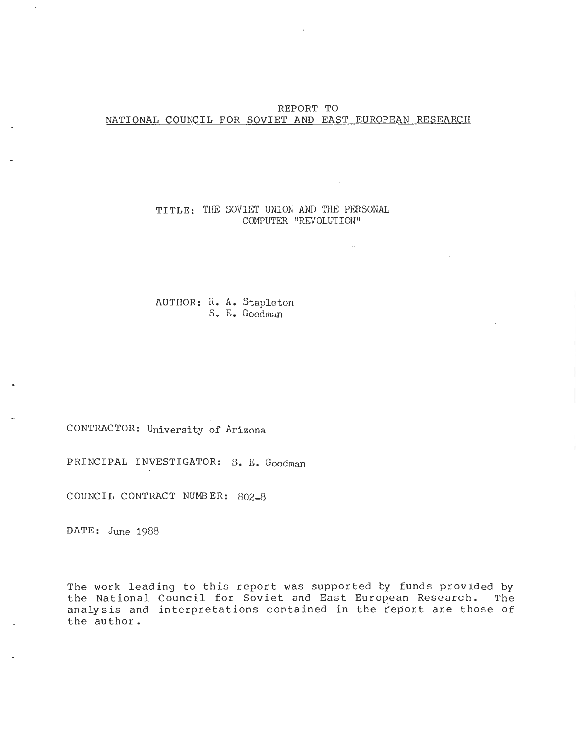## REPORT TO NATIONAL COUNCIL FOR SOVIET AND EAST EUROPEAN RESEARCH

#### TITLE: THE SOVIET UNION AND THE PERSONAL COMPUTER "REVOLUTION "

AUTHOR: R. A. Stapleton S . E. Goodman

CONTRACTOR: University of Arizona

PRINCIPAL INVESTIGATOR: S. E. Goodman

COUNCIL CONTRACT NUMBER: 802-8

DATE: June 1988

The work leading to this report was supported by funds provided by the National Council for Soviet and East European Research. The analysis and interpretations contained in the report are those of the author .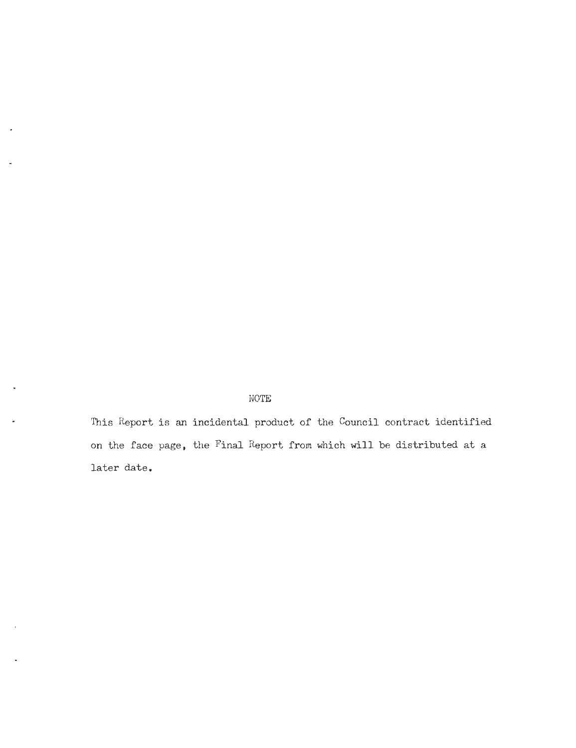# NOTE

This Report is an incidental product of the Council contract identified on the face page, the Final Report from which will be distributed at a later date.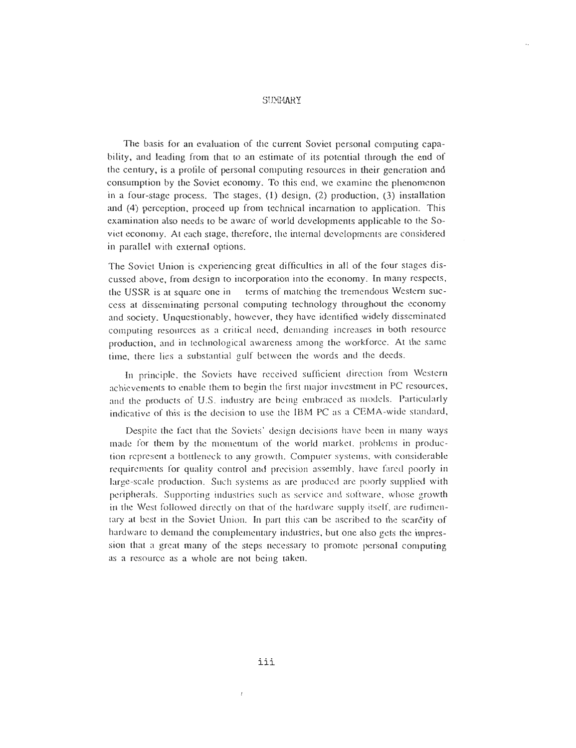# **SUMMARY**

The basis for an evaluation of the current Soviet personal computing capability, and leading from that to an estimate of its potential through the end of the century, is a profile of personal computing resources in their generation and consumption by the Soviet economy. To this end, we examine the phenomenon in a four-stage process. The stages,  $(1)$  design,  $(2)$  production,  $(3)$  installation and (4) perception, proceed up from technical incarnation to application . This examination also needs to be aware of world developments applicable to the Soviet economy. At each stage, therefore, the internal developments are considere d in parallel with external options.

The Soviet Union is experiencing great difficulties in all of the four stages discussed above, from design to incorporation into the economy . In many respects, the USSR is at square one in terms of matching the tremendous Western success at disseminating personal computing technology throughout the economy and society. Unquestionably, however, they have identified widely disseminated computing resources as a critical need, demanding increases in both resource production, and in technological awareness among the workforce . At the same time, there lies a substantial gulf between the words and the deeds.

In principle, the Soviets have received sufficient direction from Western achievements to enable them to begin the first major investment in PC resources , and the products of U.S. industry are being embraced as models. Particularly indicative of this is the decision to use the IBM PC as a CEMA-wide standard,

Despite the fact that the Soviets' design decisions have been in many ways made for them by the momentum of the world market, problems in production represent a bottleneck to any growth. Computer systems, with considerable requirements for quality control and precision assembly, have fared poorly in large-scale production. Such systems as are produced are poorly supplied with peripherals. Supporting industries such as service and software, whose growth in the West followed directly on that of the hardware supply itself, are rudimentary at best in the Soviet Union. In part this can be ascribed to the scarcity of hardware to demand the complementary industries, but one also gets the impression that a great many of the steps necessary to promote personal computing as a resource as a whole are not being taken.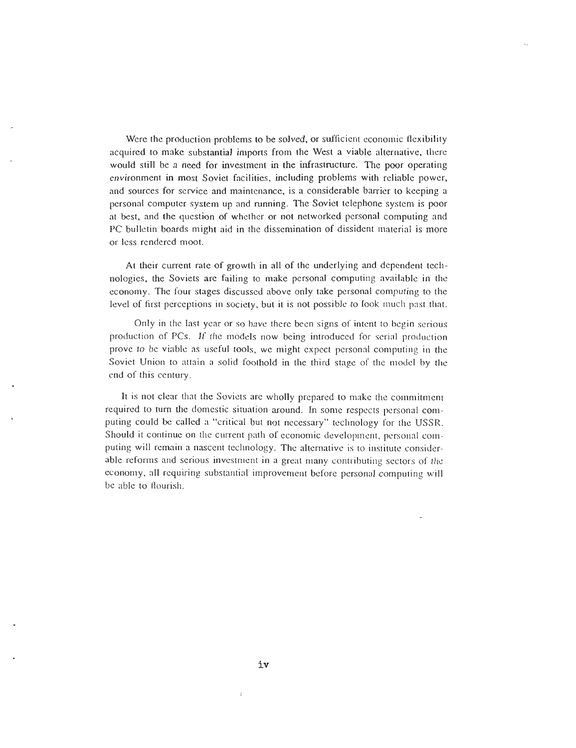Were the production problems to be solved, or sufficient economic flexibility acquired to make substantial imports from the West a viable alternative, there would still be a need for investment in the infrastructure. The poor operating environment in most Soviet facilities, including problems with reliable power, and sources for service and maintenance, is a considerable barrier to keeping a personal computer system up and running . The Soviet telephone system is poor at best, and the question of whether or not networked personal computing and PC bulletin boards might aid in the dissemination of dissident material is more or less rendered moot.

At their current rate of growth in all of the underlying and dependent technologies, the Soviets are failing to make personal computing available in the economy. The four stages discussed above only take personal computing to the level of first perceptions in society, but it is not possible to look much past that .

Only in the last year or so have there been signs of intent to begin serious production of PCs. If the models now being introduced for serial production prove to be viable as useful tools, we might expect personal computing in the Soviet Union to attain a solid foothold in the third stage of the model by the end of this century.

It is not clear that the Soviets are wholly prepared to make the commitment required to turn the domestic situation around. In some respects personal computing could be called a "critical but not necessary" technology for the USSR. Should it continue on the current path of economic development, personal computing will remain a nascent technology. The alternative is to institute considerable reforms and serious investment in a great many contributing sectors of the economy, all requiring substantial improvement before personal computing will be able to flourish.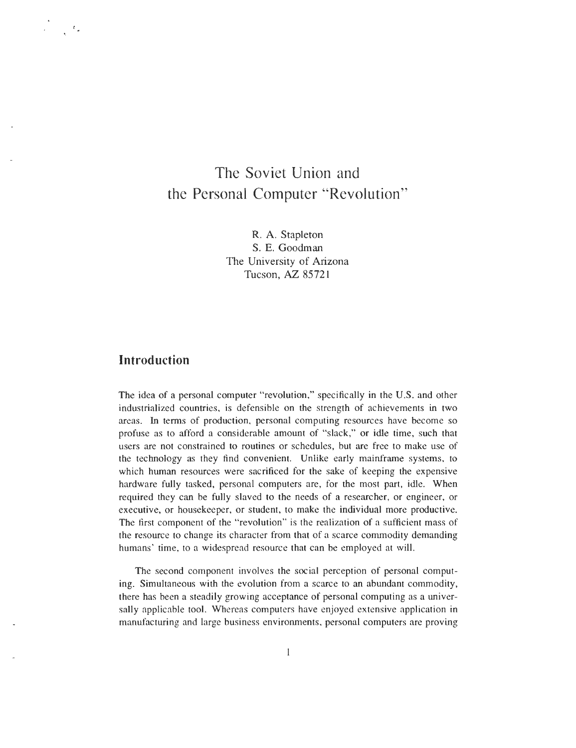# The Soviet Union and the Personal Computer "Revolution"

R. A. Stapleton S. E. Goodman The University of Arizona Tucson, AZ 8572 <sup>1</sup>

# **Introduction**

 $\mathcal{L}$ 

The idea of a personal computer "revolution," specifically in the U.S. and other industrialized countries, is defensible on the strength of achievements in two areas. In terms of production, personal computing resources have become so profuse as to afford a considerable amount of "slack," or idle time, such that users are not constrained to routines or schedules, but are free to make use of the technology as they find convenient. Unlike early mainframe systems, to which human resources were sacrificed for the sake of keeping the expensive hardware fully tasked, personal computers are, for the most part, idle. When required they can be fully slaved to the needs of a researcher, or engineer, or executive, or housekeeper, or student, to make the individual more productive. The first component of the "revolution" is the realization of a sufficient mass of the resource to change its character from that of a scarce commodity demanding humans' time, to a widespread resource that can be employed at will.

The second component involves the social perception of personal computing. Simultaneous with the evolution from a scarce to an abundant commodity, there has been a steadily growing acceptance of personal computing as a universally applicable tool. Whereas computers have enjoyed extensive application in manufacturing and large business environments, personal computers are proving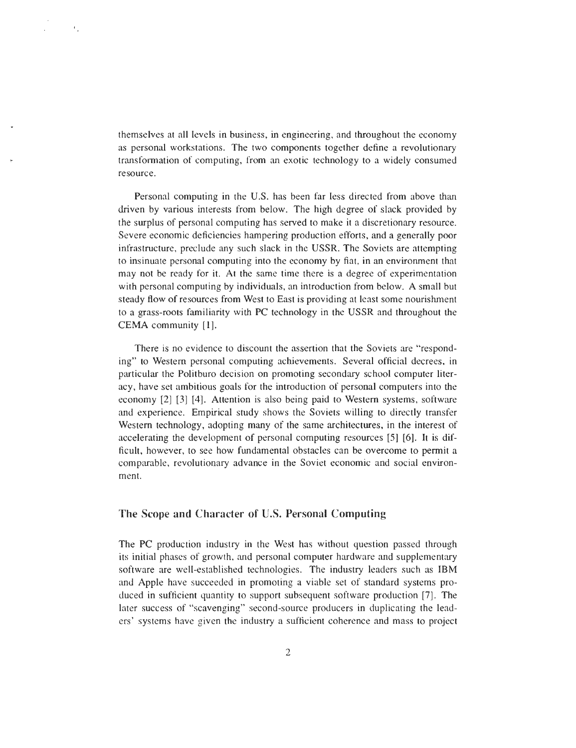themselves at all levels in business, in engineering, and throughout the econom y as personal workstations. The two components together define a revolutionary transformation of computing, from an exotic technology to a widely consumed resource.

 $\mathbf{C}_1$ 

Personal computing in the U.S. has been far less directed from above than driven by various interests from below. The high degree of slack provided by the surplus of personal computing has served to make it a discretionary resource . Severe economic deficiencies hampering production efforts, and a generally poor infrastructure, preclude any such slack in the USSR. The Soviets are attempting to insinuate personal computing into the economy by fiat, in an environment that may not be ready for it. At the same time there is a degree of experimentation with personal computing by individuals, an introduction from below. A small but steady flow of resources from West to East is providing at least some nourishment to a grass-roots familiarity with PC technology in the USSR and throughout the CEMA community [1].

There is no evidence to discount the assertion that the Soviets are "responding" to Western personal computing achievements. Several official decrees, in particular the Politburo decision on promoting secondary school computer literacy, have set ambitious goals for the introduction of personal computers into the economy [2] [3] [4]. Attention is also being paid to Western systems, software and experience. Empirical study shows the Soviets willing to directly transfer Western technology, adopting many of the same architectures, in the interest of accelerating the development of personal computing resources [5] [6]. It is difficult, however, to see how fundamental obstacles can be overcome to permit a comparable, revolutionary advance in the Soviet economic and social environment.

#### The Scope **and Character** of U.S. **Personal Computin g**

The PC production industry in the West has without question passed through its initial phases of growth, and personal computer hardware and supplementary software are well-established technologies. The industry leaders such as IBM and Apple have succeeded in promoting a viable set of standard systems produced in sufficient quantity to support subsequent software production [7]. The later success of "scavenging" second-source producers in duplicating the leaders' systems have given the industry a sufficient coherence and mass to project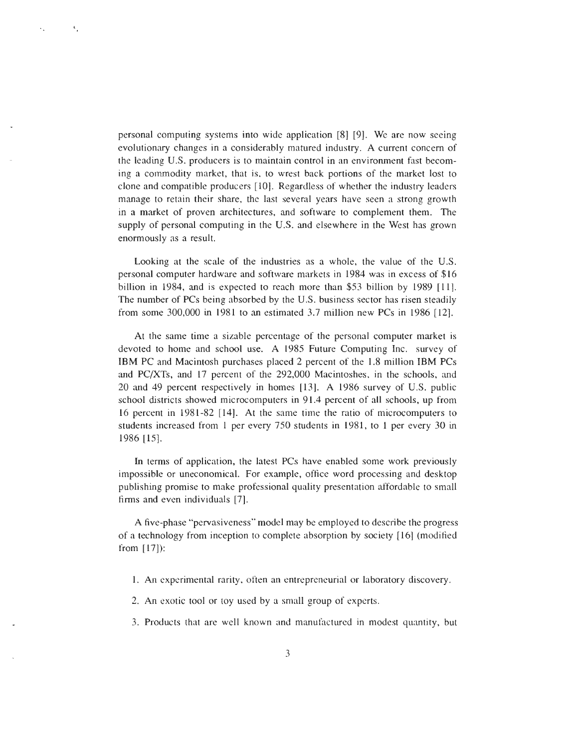personal computing systems into wide application [8] [9]. We are now seeing evolutionary changes in a considerably matured industry. A current concern of the leading U .S. producers is to maintain control in an environment fast becoming a commodity market, that is, to wrest back portions of the market lost to clone and compatible producers [10] . Regardless of whether the industry leaders manage to retain their share. the last several years have seen a strong growth in a market of proven architectures, and software to complement them. The supply of personal computing in the U.S. and elsewhere in the West has grown enormously as a result.

 $\mathbf{t}_\perp$ 

 $\ddot{\phantom{a}}$  .

Looking at the scale of the industries as a whole, the value of the U.S. personal computer hardware and software markets in 1984 was in excess of \$1 6 billion in 1984, and is expected to reach more than \$53 billion by 1989 [11] . The number of PCs being absorbed by the U.S. business sector has risen steadily from some 300,000 in 1981 to an estimated 3 .7 million new PCs in 1986 [12] .

At the same time a sizable percentage of the personal computer market is devoted to home and school use. A 1985 Future Computing Inc. survey of IBM PC and Macintosh purchases placed 2 percent of the 1.8 million IBM PCs and PC/XTs, and 17 percent of the 292,000 Macintoshes, in the schools, and 20 and 49 percent respectively in homes [13]. A 1986 survey of U.S. public school districts showed microcomputers in 91 .4 percent of all schools, up from 16 percent in 1981-82 [14]. At the same time the ratio of microcomputers to students increased from 1 per every 750 students in 1981, to 1 per every 30 in 1986 [15] .

In terms of application, the latest PCs have enabled some work previously impossible or uneconomical. For example, office word processing and desktop publishing promise to make professional quality presentation affordable to smal <sup>l</sup> firms and even individuals [7].

A five-phase "pervasiveness" model may be employed to describe the progress of a technology from inception to complete absorption by society [16] (modified from [17]):

- 1. An experimental rarity, often an entrepreneurial or laboratory discovery .
- 2. An exotic tool or toy used by a small group of experts.
- 3. Products that are well known and manufactured in modest quantity, but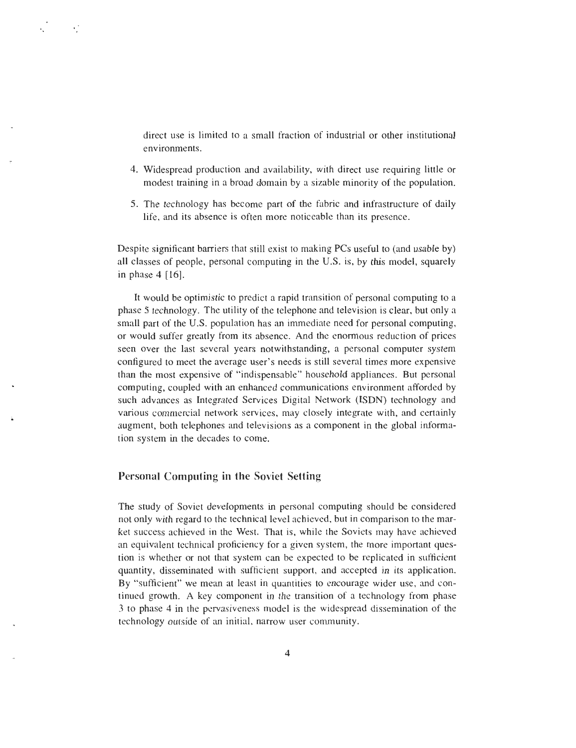direct use is limited to a small fraction of industrial or other institutional environments.

- 4. Widespread production and availability, with direct use requiring little or modest training in a broad domain by a sizable minority of the population.
- 5. The technology has become part of the fabric and infrastructure of daily life, and its absence is often more noticeable than its presence .

Despite significant barriers that still exist to making PCs useful to (and usable by) all classes of people, personal computing in the  $U.S.$  is, by this model, squarely in phase  $4 \mid 16$ .

It would be optimistic to predict a rapid transition of personal computing to a phase 5 technology . The utility of the telephone and television is clear, but only a small part of the U.S. population has an immediate need for personal computing, or would suffer greatly from its absence . And the enormous reduction of prices seen over the last several years notwithstanding, a personal computer system configured to meet the average user's needs is still several times more expensive than the most expensive of "indispensable" household appliances. But personal computing, coupled with an enhanced communications environment afforded by such advances as Integrated Services Digital Network (ISDN) technology and various commercial network services, may closely integrate with, and certainly augment, both telephones and televisions as a component in the global information system in the decades to come.

#### Personal Computing in the Soviet Setting

 $\epsilon^{-1}$ 

The study of Soviet developments in personal computing should be considered not only with regard to the technical level achieved, but in comparison to the market success achieved in the West. That is, while the Soviets may have achieved an equivalent technical proficiency for a given system, the more important question is whether or not that system can be expected to be replicated in sufficient quantity, disseminated with sufficient support, and accepted in its application. By "sufficient" we mean at least in quantities to encourage wider use, and continued growth. A key component in the transition of a technology from phase 3 to phase 4 in the pervasiveness model is the widespread dissemination of the technology outside of an initial, narrow user community .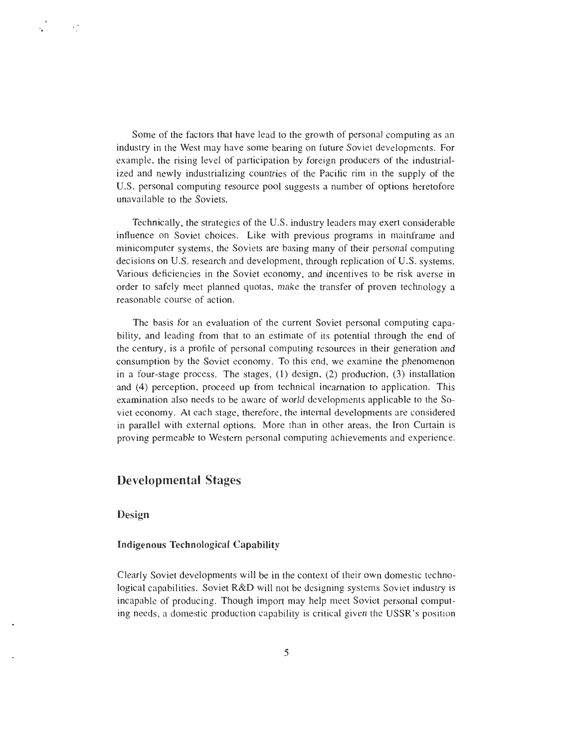Some of the factors that have lead to the growth of personal computing as an industry in the West may have some bearing on future Soviet developments . For example, the rising level of participation by foreign producers of the industrialized and newly industrializing countries of the Pacific rim in the supply of the U.S. personal computing resource pool suggests a number of options heretofore unavailable to the Soviets.

Technically, the strategies of the U.S. industry leaders may exert considerable influence on Soviet choices. Like with previous programs in mainframe and minicomputer systems, the Soviets are basing many of their personal computing decisions on U.S. research and development, through replication of U .S. systems. Various deficiencies in the Soviet economy, and incentives to be risk averse in order to safely meet planned quotas, make the transfer of proven technology a reasonable course of action.

The basis for an evaluation of the current Soviet personal computing capability, and leading from that to an estimate of its potential through the end of the century, is a profile of personal computing resources in their generation and consumption by the Soviet economy. To this end, we examine the phenomenon in a four-stage process. The stages,  $(1)$  design,  $(2)$  production,  $(3)$  installation and (4) perception, proceed up from technical incarnation to application. This examination also needs to be aware of world developments applicable to the Soviet economy. At each stage, therefore, the internal developments are considered in parallel with external options. More than in other areas, the Iron Curtain is proving permeable to Western personal computing achievements and experience .

# Developmental Stages

#### **Design**

 $e^{\pm}$ 

#### **Indigenous Technological Capability**

Clearly Soviet developments will be in the context of their own domestic technological capabilities. Soviet R&D will not be designing systems Soviet industry is incapable of producing. Though import may help meet Soviet personal computing needs, a domestic production capability is critical given the USSR's position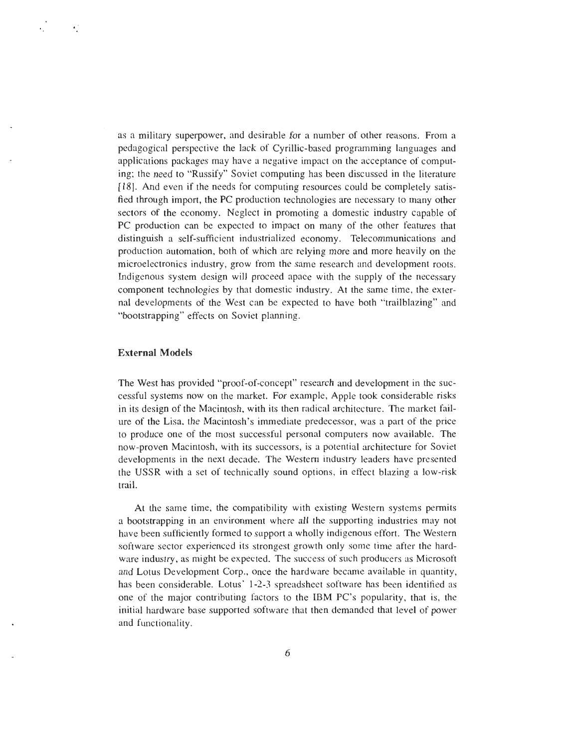as a military superpower, and desirable for a number of other reasons . From a pedagogical perspective the lack of Cyrillic-based programming languages and applications packages may have a negative impact on the acceptance of computing; the need to "Russify" Soviet computing has been discussed in the literature [18]. And even if the needs for computing resources could be completely satisfied through import, the PC production technologies are necessary to many other sectors of the economy. Neglect in promoting a domestic industry capable of PC production can be expected to impact on many of the other features that distinguish a self-sufficient industrialized economy . Telecommunications and production automation, both of which are relying more and more heavily on the microelectronics industry, grow from the same research and development roots . Indigenous system design will proceed apace with the supply of the necessary component technologies by that domestic industry . At the same time, the external developments of the West can be expected to have both "trailblazing" and "bootstrapping" effects on Soviet planning.

#### **External Models**

 $\bullet$ 

The West has provided "proof-of-concept" research and development in the successful systems now on the market. For example, Apple took considerable risks in its design of the Macintosh, with its then radical architecture. The market failure of the Lisa, the Macintosh's immediate predecessor, was a part of the price to produce one of the most successful personal computers now available . The now-proven Macintosh, with its successors, is a potential architecture for Sovie <sup>t</sup> developments in the next decade. The Western industry leaders have presented the USSR with a set of technically sound options, in effect blazing a low-risk trail.

At the same time, the compatibility with existing Western systems permits a bootstrapping in an environment where all the supporting industries may not have been sufficiently formed to support a wholly indigenous effort. The Western software sector experienced its strongest growth only some time after the hardware industry, as might be expected. The success of such producers as Microsoft and Lotus Development Corp., once the hardware became available in quantity, has been considerable. Lotus' 1-2-3 spreadsheet software has been identified as one of the major contributing factors to the 1BM PC 's popularity, that is, the initial hardware base supported software that then demanded that level of power and functionality.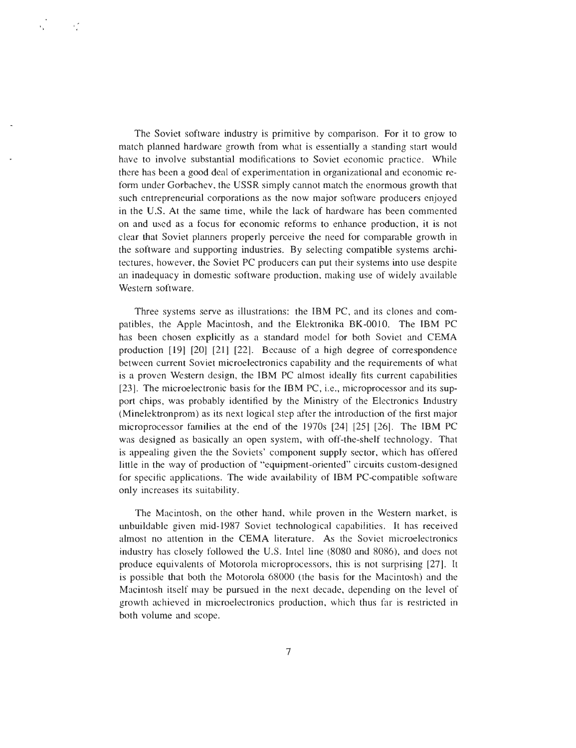The Soviet software industry is primitive by comparison. For it to grow to match planned hardware growth from what is essentially a standing start would have to involve substantial modifications to Soviet economic practice. While there has been a good deal of experimentation in organizational and economic re form under Gorbachev, the USSR simply cannot match the enormous growth that such entrepreneurial corporations as the now major software producers enjoyed in the U.S. At the same time, while the lack of hardware has been commented on and used as a focus for economic reforms to enhance production, it is not clear that Soviet planners properly perceive the need for comparable growth in the software and supporting industries. By selecting compatible systems architectures, however, the Soviet PC producers can put their systems into use despite an inadequacy in domestic software production, making use of widely available Western software.

ΥŽ

Three systems serve as illustrations: the 1BM PC, and its clones and compatibles, the Apple Macintosh, and the Elektronika BK-0010. The IBM PC has been chosen explicitly as a standard model for both Soviet and CEMA production [19] [20] [21] [22]. Because of a high degree of correspondence between current Soviet microelectronics capability and the requirements of what is a proven Western design, the 1BM PC almost ideally fits current capabilities [23]. The microelectronic basis for the IBM PC, i.e., microprocessor and its support chips, was probably identified by the Ministry of the Electronics Industry (Minelektronprom) as its next logical step after the introduction of the first major microprocessor families at the end of the 1970s [24] [25] [26] . The IBM PC was designed as basically an open system, with off-the-shelf technology. That is appealing given the the Soviets' component supply sector, which has offered little in the way of production of "equipment-oriented" circuits custom-designed for specific applications. The wide availability of IBM PC-compatible software only increases its suitability .

The Macintosh, on the other hand, while proven in the Western market, is unbuildable given mid-1987 Soviet technological capabilities. It has received almost no attention in the CEMA literature. As the Soviet microelectronics industry has closely followed the U.S. Intel line (8080 and 8086), and does not produce equivalents of Motorola microprocessors, this is not surprising [27] . It is possible that both the Motorola 68000 (the basis for the Macintosh) and the Macintosh itself may be pursued in the next decade, depending on the level of growth achieved in microelectronics production, which thus far is restricted in both volume and scope.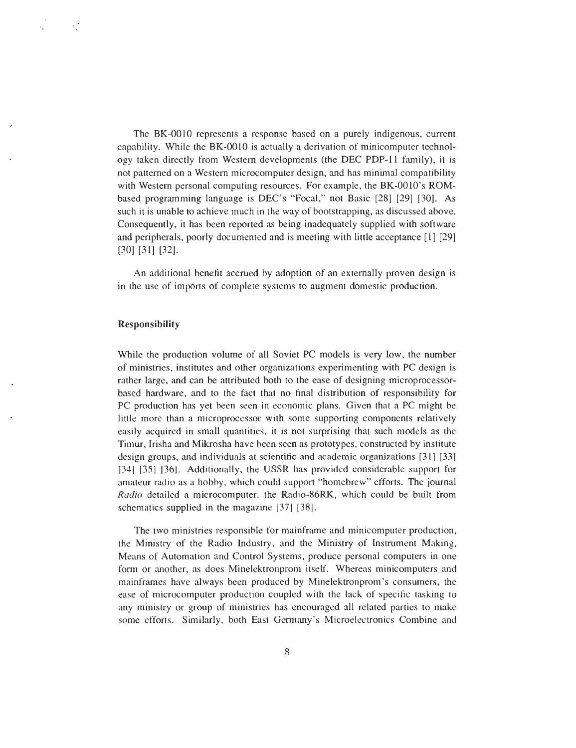The BK-0010 represents a response based on a purely indigenous, current capability. While the BK-0010 is actually a derivation of minicomputer technology taken directly from Western developments (the DEC PDP-11 family), it is not patterned on a Western microcomputer design, and has minimal compatibility with Western personal computing resources. For example, the BK-0010's ROMbased programming language is DEC's "Focal," not Basic [28] [29] [30]. As such it is unable to achieve much in the way of bootstrapping, as discussed above. Consequently, it has been reported as being inadequately supplied with software and peripherals, poorly documented and is meeting with little acceptance [1] [29 ] [30] [31] [32] .

An additional benefit accrued by adoption of an externally proven design is in the use of imports of complete systems to augment domestic production.

#### **Responsibility**

ΥÎ

While the production volume of all Soviet PC models is very low, the number of ministries, institutes and other organizations experimenting with PC design i <sup>s</sup> rather large, and can be attributed both to the ease of designing microprocessorbased hardware, and to the fact that no final distribution of responsibility for PC production has yet been seen in economic plans. Given that a PC might be little more than a microprocessor with some supporting components relatively easily acquired in small quantities, it is not surprising that such models as the Timur, Irisha and Mikrosha have been seen as prototypes, constructed by institute design groups, and individuals at scientific and academic organizations [31] [33 ] [34] [35] [36]. Additionally, the USSR has provided considerable support for amateur radio as a hobby, which could support "homebrew" efforts. The journal *Radio detailed a microcomputer, the Radio-86RK, which could be built from schematics supplied in the magazine [37] [38] .*

The two ministries responsible for mainframe and minicomputer production , the Ministry of the Radio Industry, and the Ministry of Instrument Making, Means of Automation and Control Systems, produce personal computers in one form or another, as does Minelektronprom itself. Whereas minicomputers and mainframes have always been produced by Minelektronprom's consumers, the ease of microcomputer production coupled with the lack of specific tasking to any ministry or group of ministries has encouraged all related parties to make some efforts. Similarly, both East Germany's Microelectronics Combine and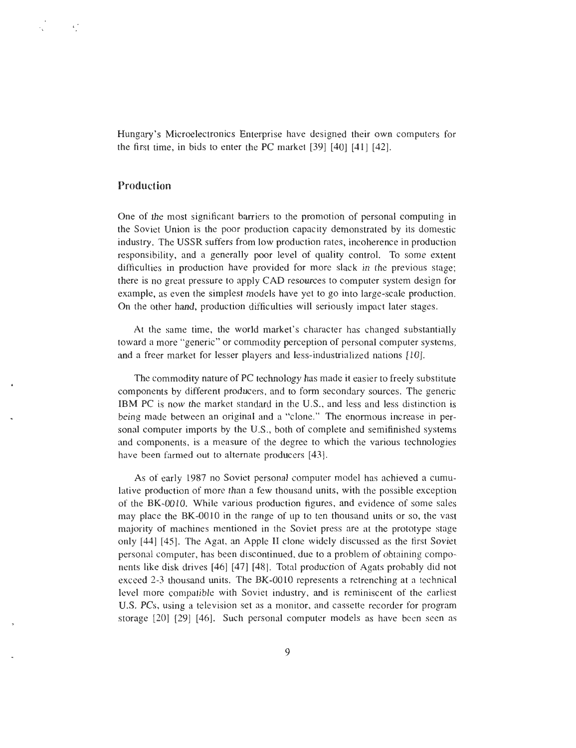Hungary's Microelectronics Enterprise have designed their own computers for the first time, in bids to enter the PC market [39] [40] [41] [42] .

#### Production

 $\cdot$ .

One of the most significant barriers to the promotion of personal computing in the Soviet Union is the poor production capacity demonstrated by its domestic industry. The USSR suffers from low production rates, incoherence in production responsibility, and a generally poor level of quality control. To some extent difficulties in production have provided for more slack in the previous stage; there is no great pressure to apply CAD resources to computer system design for example, as even the simplest models have yet to go into large-scale production. On the other hand, production difficulties will seriously impact later stages.

At the same time, the world market's character has changed substantially toward a more "generic" or commodity perception of personal computer systems, and a freer market for lesser players and less-industrialized nations [10].

The commodity nature of PC technology has made it easier to freely substitute components by different producers, and to form secondary sources. The generic IBM PC is now the market standard in the U.S., and less and less distinction is being made between an original and a "clone." The enormous increase in personal computer imports by the U.S., both of complete and semifinished systems and components, is a measure of the degree to which the various technologies have been farmed out to alternate producers [43].

As of early 1987 no Soviet personal computer model has achieved a cumulative production of more than a few thousand units, with the possible exception of the BK-0010. While various production figures, and evidence of some sales may place the BK-0010 in the range of up to ten thousand units or so, the vast majority of machines mentioned in the Soviet press are at the prototype stage only [44] [45]. The Agat, an Apple II clone widely discussed as the first Soviet personal computer, has been discontinued, due to a problem of obtaining components like disk drives [46] [47] [48]. Total production of Agats probably did not exceed 2-3 thousand units. The BK-0010 represents a retrenching at a technical level more compatible with Soviet industry, and is reminiscent of the earliest U.S. PCs, using a television set as a monitor, and cassette recorder for program storage [20] [29] [46]. Such personal computer models as have been seen as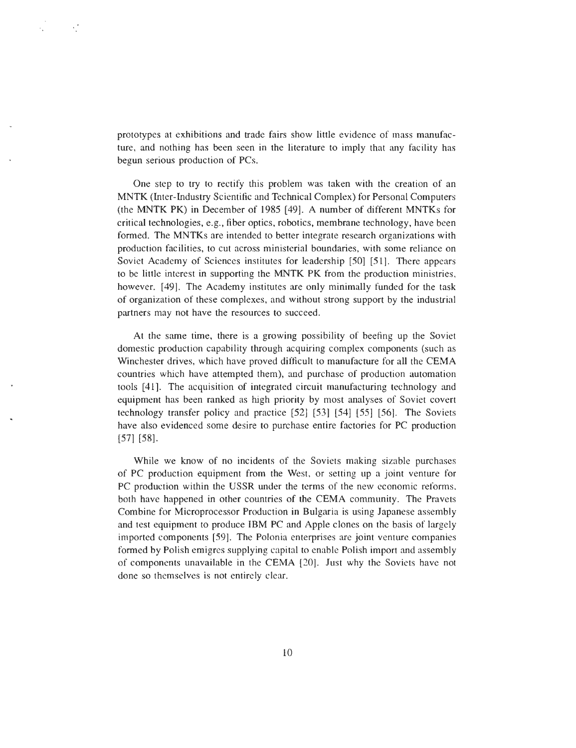prototypes at exhibitions and trade fairs show little evidence of mass manufacture, and nothing has been seen in the literature to imply that any facility has begun serious production of PCs.

 $\mathcal{L}^{\mathcal{P}}$ 

 $\epsilon_{\rm{L}}$ 

One step to try to rectify this problem was taken with the creation of an MNTK (Inter-Industry Scientific and Technical Complex) for Personal Computer <sup>s</sup> (the MNTK PK) in December of 1985 [49]. A number of different MNTKs for critical technologies, e.g., fiber optics, robotics, membrane technology, have bee n formed. The MNTKs are intended to better integrate research organizations with production facilities, to cut across ministerial boundaries, with some reliance on Soviet Academy of Sciences institutes for leadership [50] [51] . There appears to be little interest in supporting the MNTK PK from the production ministries , however. [49]. The Academy institutes are only minimally funded for the task of organization of these complexes, and without strong support by the industrial partners may not have the resources to succeed.

At the same time, there is a growing possibility of beefing up the Soviet domestic production capability through acquiring complex components (such a <sup>s</sup> Winchester drives, which have proved difficult to manufacture for all the CEM A countries which have attempted them), and purchase of production automation tools [41]. The acquisition of integrated circuit manufacturing technology and equipment has been ranked as high priority by most analyses of Soviet covert technology transfer policy and practice [52] [53] [54] [55] [56]. The Soviets have also evidenced some desire to purchase entire factories for PC production [57] [58] .

While we know of no incidents of the Soviets making sizable purchases of PC production equipment from the West, or setting up a joint venture for PC production within the USSR under the terms of the new economic reforms , both have happened in other countries of the CEMA community. The Pravets Combine for Microprocessor Production in Bulgaria is using Japanese assembly and test equipment to produce IBM PC and Apple clones on the basis of largely imported components [59]. The Polonia enterprises are joint venture companies formed by Polish emigres supplying capital to enable Polish import and assembly of components unavailable in the CEMA [20] . Just why the Soviets have not done so themselves is not entirely clear.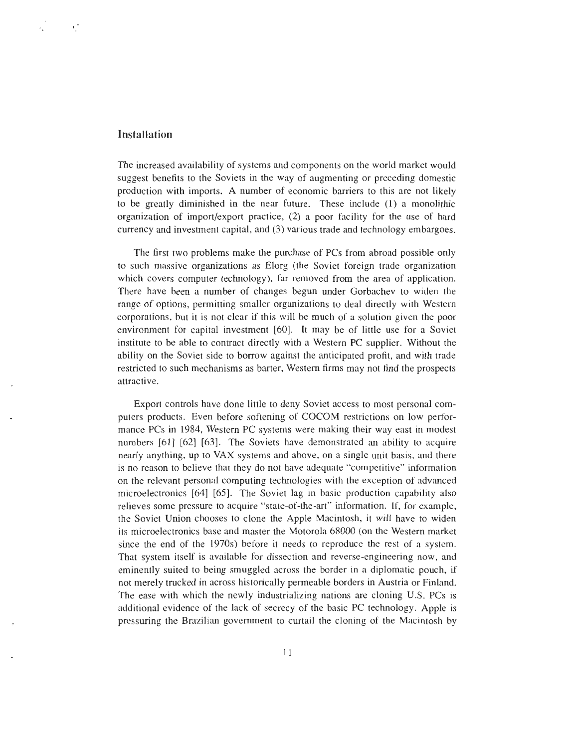#### **Installation**

 $\overline{C}$ 

The increased availability of systems and components on the world market would suggest benefits to the Soviets in the way of augmenting or preceding domestic production with imports. A number of economic barriers to this are not likely to be greatly diminished in the near future. These include (1) a monolithic organization of import/export practice, (2) a poor facility for the use of hard currency and investment capital, and (3) various trade and technology embargoes .

The first two problems make the purchase of PCs from abroad possible only to such massive organizations as Elorg (the Soviet foreign trade organization which covers computer technology), far removed from the area of application. There have been a number of changes begun under Gorbachev to widen the range of options, permitting smaller organizations to deal directly with Western corporations, but it is not clear if this will be much of a solution given the poor environment for capital investment [60]. It may be of little use for a Soviet institute to be able to contract directly with a Western PC supplier. Without the ability on the Soviet side to borrow against the anticipated profit, and with trade restricted to such mechanisms as barter, Western firms may not find the prospects attractive.

Export controls have done little to deny Soviet access to most personal computers products. Even before softening of COCOM restrictions on low performance PCs in 1984, Western PC systems were making their way east in modest numbers  $[61]$   $[62]$   $[63]$ . The Soviets have demonstrated an ability to acquire nearly anything, up to VAX systems and above, on a single unit basis, and there is no reason to believe that they do not have adequate "competitive" information on the relevant personal computing technologies with the exception of advanced microelectronics [64] [65]. The Soviet lag in basic production capability also relieves some pressure to acquire "state-of-the-art " information . If, for example, the Soviet Union chooses to clone the Apple Macintosh, it will have to widen its microelectronics base and master the Motorola 68000 (on the Western market since the end of the 1970s) before it needs to reproduce the rest of a system. That system itself is available for dissection and reverse-engineering now, and eminently suited to being smuggled across the border in a diplomatic pouch, if not merely trucked in across historically permeable borders in Austria or Finland. The ease with which the newly industrializing nations are cloning U .S . PCs is additional evidence of the lack of secrecy of the basic PC technology. Apple is pressuring the Brazilian government to curtail the cloning of the Macintosh by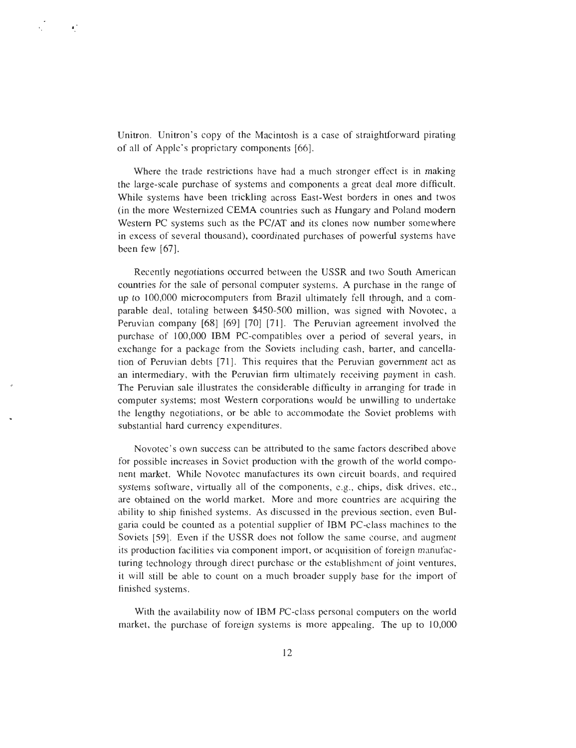Unitron. Unitron's copy of the Macintosh is a case of straightforward pirating of all of Apple's proprietary components [66] .

 $\epsilon$ 

Where the trade restrictions have had a much stronger effect is in making the large-scale purchase of systems and components a great deal more difficult. While systems have been trickling across East-West borders in ones and twos (in the more Westernized CEMA countries such as Hungary and Poland modern Western PC systems such as the PC/AT and its clones now number somewhere in excess of several thousand), coordinated purchases of powerful systems have been few [67].

Recently negotiations occurred between the USSR and two South American countries for the sale of personal computer systems. A purchase in the range of up to 100,000 microcomputers from Brazil ultimately fell through, and a comparable deal, totaling between \$450-500 million, was signed with Novotec, a Peruvian company [68] [69] [70] [71]. The Peruvian agreement involved the purchase of 100,000 IBM PC-compatibles over a period of several years, in exchange for a package from the Soviets including cash, barter, and cancellation of Peruvian debts [71]. This requires that the Peruvian government act a <sup>s</sup> an intermediary, with the Peruvian firm ultimately receiving payment in cash. The Peruvian sale illustrates the considerable difficulty in arranging for trade in computer systems; most Western corporations would be unwilling to undertake the lengthy negotiations, or be able to accommodate the Soviet problems with substantial hard currency expenditures.

Novotec's own success can be attributed to the same factors described above for possible increases in Soviet production with the growth of the world component market. While Novotec manufactures its own circuit boards, and required systems software, virtually all of the components, e.g., chips, disk drives, etc., are obtained on the world market. More and more countries are acquiring the ability to ship finished systems. As discussed in the previous section, even Bulgaria could be counted as a potential supplier of IBM PC-class machines to the Soviets [59] . Even if the USSR does not follow the same course, and augment its production facilities via component import, or acquisition of foreign manufacturing technology through direct purchase or the establishment of joint ventures , it will still be able to count on a much broader supply base for the import of finished systems .

With the availability now of IBM PC-class personal computers on the world market, the purchase of foreign systems is more appealing. The up to 10,000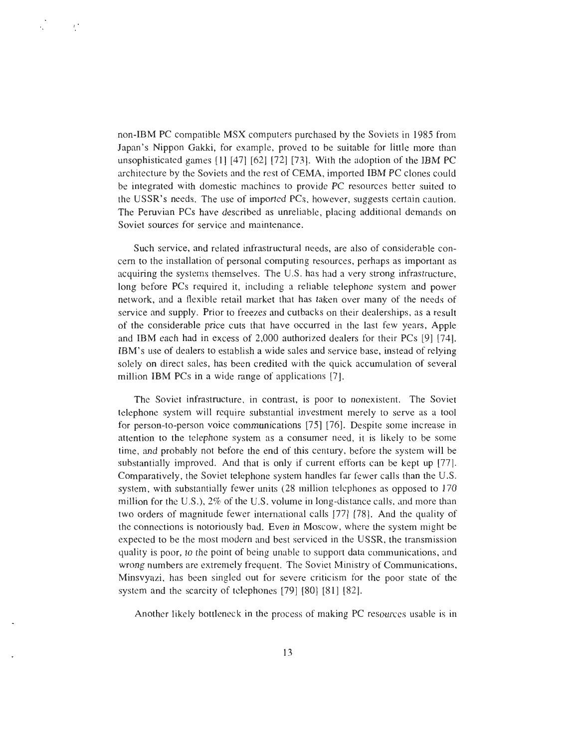non-IBM PC compatible MSX computers purchased by the Soviets in 1985 from Japan's Nippon Gakki, for example, proved to be suitable for little more than unsophisticated games [1] [47] [62] [72] [73] . With the adoption of the IBM PC architecture by the Soviets and the rest of CEMA, imported IBM PC clones coul d be integrated with domestic machines to provide PC resources better suited to the USSR's needs. The use of imported PCs, however, suggests certain caution . The Peruvian PCs have described as unreliable, placing additional demands on Soviet sources for service and maintenance.

 $\mathbf{r}$ 

Such service, and related infrastructural needs, are also of considerable concern to the installation of personal computing resources, perhaps as important as acquiring the systems themselves. The U.S. has had a very strong infrastructure, long before PCs required it, including a reliable telephone system and power network, and a flexible retail market that has taken over many of the needs of service and supply. Prior to freezes and cutbacks on their dealerships, as a result of the considerable price cuts that have occurred in the last few years, Apple and IBM each had in excess of 2,000 authorized dealers for their PCs [9] [74] . IBM's use of dealers to establish a wide sales and service base, instead of relying solely on direct sales, has been credited with the quick accumulation of several million IBM PCs in a wide range of applications [7].

The Soviet infrastructure, in contrast, is poor to nonexistent. The Soviet telephone system will require substantial investment merely to serve as a tool for person-to-person voice communications [75] [76] . Despite some increase in attention to the telephone system as a consumer need, it is likely to be some time, and probably not before the end of this century, before the system will be substantially improved. And that is only if current efforts can be kept up [77] . Comparatively, the Soviet telephone system handles far fewer calls than the U .S. system, with substantially fewer units (28 million telephones as opposed to 170 million for the U.S.), 2% of the U.S. volume in long-distance calls, and more than *two orders of magnitude fewer international calls [77] [78] . And the quality of the connections is notoriously bad. Even in Moscow, where the system might be expected to be the most modern and best serviced in the USSR, the transmissio n quality is poor, to the point of being unable to support data communications, an d* wrong numbers are extremely frequent. The Soviet Ministry of Communications, *Minsvyazi, has been singled out for severe criticism for the poor state of the system and the scarcity of telephones [79] [80] [81] [82] .*

Another likely bottleneck in the process of making PC resources usable is in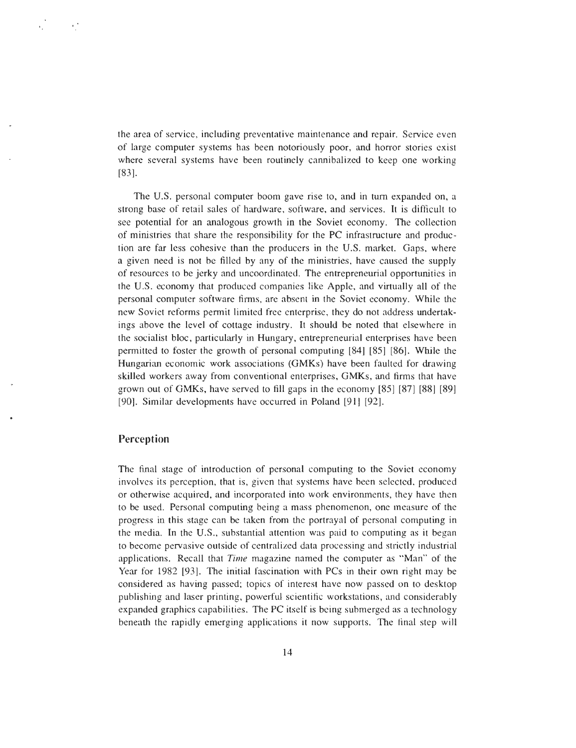the area of service, including preventative maintenance and repair. Service even of large computer systems has been notoriously poor, and horror stories exist where several systems have been routinely cannibalized to keep one working [83].

The U.S. personal computer boom gave rise to, and in turn expanded on, a strong base of retail sales of hardware, software, and services. It is difficult to see potential for an analogous growth in the Soviet economy. The collection of ministries that share the responsibility for the PC infrastructure and production are far less cohesive than the producers in the U.S. market. Gaps, where a given need is not be filled by any of the ministries, have caused the supply of resources to be jerky and uncoordinated. The entrepreneurial opportunities in the U.S. economy that produced companies like Apple, and virtually all of the personal computer software firms, are absent in the Soviet economy . While the new Soviet reforms permit limited free enterprise, they do not address undertakings above the level of cottage industry. It should be noted that elsewhere in the socialist bloc, particularly in Hungary, entrepreneurial enterprises have been permitted to foster the growth of personal computing [84] [85] [86]. While the Hungarian economic work associations (GMKs) have been faulted for drawing skilled workers away from conventional enterprises, GMKs, and firms that have grown out of GMKs, have served to fill gaps in the economy [85] [87] [88] [89] [90]. Similar developments have occurred in Poland [91] [92].

#### Perception

The final stage of introduction of personal computing to the Soviet economy involves its perception, that is, given that systems have been selected, produced or otherwise acquired, and incorporated into work environments, they have then to be used. Personal computing being a mass phenomenon, one measure of the progress in this stage can be taken from the portrayal of personal computing in the media. In the U.S., substantial attention was paid to computing as it began to become pervasive outside of centralized data processing and strictly industrial applications. Recall that *Time* magazine named the computer as "Man" of the *Year for 1982 [93] . The initial fascination with PCs in their own right may b e considered as having passed ; topics of interest have now passed on to desktop publishing and laser printing, powerful scientific workstations, and considerabl y expanded graphics capabilities. The PC itself is being submerged as a technology beneath the rapidly emerging applications it now supports . The final step will*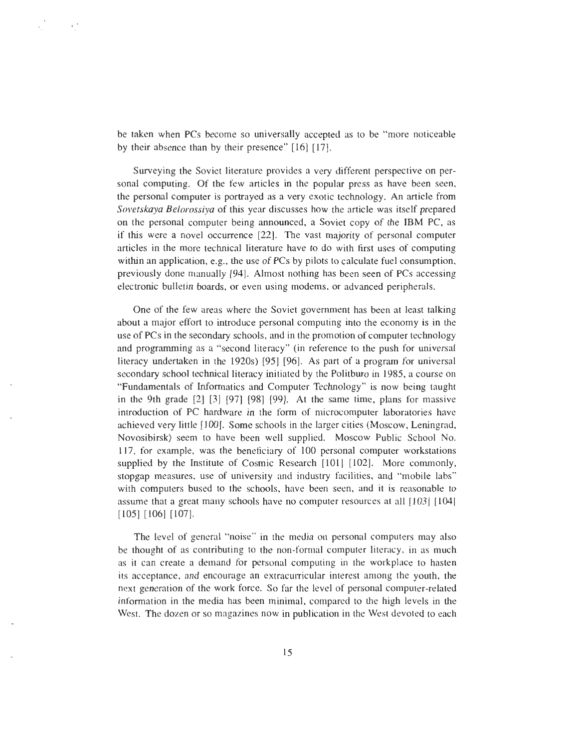be taken when PCs become so universally accepted as to be "more noticeable by their absence than by their presence"  $[16]$   $[17]$ .

Surveying the Soviet literature provides a very different perspective on personal computing. Of the few articles in the popular press as have been seen, the personal computer is portrayed as a very exotic technology . An article from *Sovetskaya Belorossiya* of this year discusses how the article was itself prepared *on the personal computer being announced, a Soviet copy of the IBM PC, a <sup>s</sup> if this were a novel occurrence [22] . The vast majority of personal computer articles in the more technical literature have to do with first uses of computing* within an application, e.g., the use of PCs by pilots to calculate fuel consumption, *previously done manually [94] . Almost nothing has been seen of PCs accessing electronic bulletin boards, or even using modems, or advanced peripherals.*

One of the few areas where the Soviet government has been at least talking about a major effort to introduce personal computing into the economy is in the use of PCs in the secondary schools, and in the promotion of computer technology and programming as a "second literacy" (in reference to the push for universal literacy undertaken in the 1920s) [95] [96] . As part of a program for universal secondary school technical literacy initiated by the Politburo in 1985, a course on "Fundamentals of Informatics and Computer Technology " is now being taught in the 9th grade [2] [3] [97] [98] [99] . At the same time, plans for massive introduction of PC hardware in the form of microcomputer laboratories have achieved very little [100]. Some schools in the larger cities (Moscow, Leningrad , Novosibirsk) seem to have been well supplied. Moscow Public School No. 117, for example, was the beneficiary of 100 personal computer workstations supplied by the Institute of Cosmic Research [101] [102]. More commonly, stopgap measures, use of university and industry facilities, and "mobile labs " with computers bused to the schools, have been seen, and it is reasonable to assume that a great many schools have no computer resources at all [103] [104] [105] [106] [107] .

The level of general "noise" in the media on personal computers may also be thought of as contributing to the non-formal computer literacy, in as much as it can create a demand for personal computing in the workplace to hasten its acceptance, and encourage an extracurricular interest among the youth, the next generation of the work force. So far the level of personal computer-related information in the media has been minimal, compared to the high levels in the West. The dozen or so magazines now in publication in the West devoted to each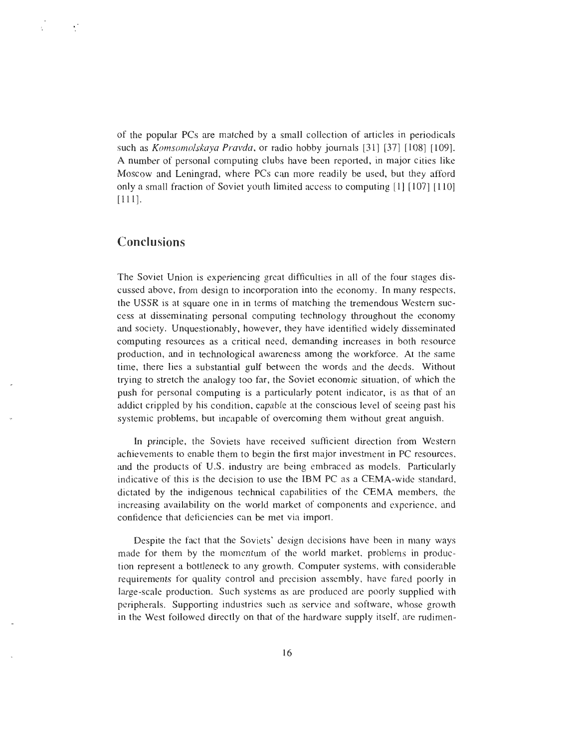of the popular PCs are matched by a small collection of articles in periodicals such as *Komsomolska'a Pravda, or radio hobby journals [31] [37] [108] [109] . A number of personal computing clubs have been reported, in major cities lik e Moscow and Leningrad, where PCs can more readily be used, but they affor d only a small fraction of Soviet youth limited access to computing [l] [107] [110 ] [111] .*

# **Conclusions**

 $\mathbf{v}^{\prime}$ 

The Soviet Union is experiencing great difficulties in all of the four stages discussed above, from design to incorporation into the economy . In many respects, the USSR is at square one in in terms of matching the tremendous Western success at disseminating personal computing technology throughout the economy and society. Unquestionably, however, they have identified widely disseminated computing resources as a critical need, demanding increases in both resource production, and in technological awareness among the workforce . At the same time, there lies a substantial gulf between the words and the deeds. Without trying to stretch the analogy too far, the Soviet economic situation, of which the push for personal computing is a particularly potent indicator, is as that of an addict crippled by his condition, capable at the conscious level of seeing past his systemic problems, but incapable of overcoming them without great anguish.

In principle, the Soviets have received sufficient direction from Western achievements to enable them to begin the first major investment in PC resources , and the products of U.S. industry are being embraced as models. Particularly indicative of this is the decision to use the IBM PC as a CEMA-wide standard, dictated by the indigenous technical capabilities of the CEMA members, the increasing availability on the world market of components and experience, and confidence that deficiencies can be met via import.

Despite the fact that the Soviets' design decisions have been in many ways made for them by the momentum of the world market, problems in production represent a bottleneck to any growth. Computer systems, with considerable requirements for quality control and precision assembly, have fared poorly in large-scale production. Such systems as are produced are poorly supplied with peripherals. Supporting industries such as service and software, whose growth in the West followed directly on that of the hardware supply itself, are rudimen -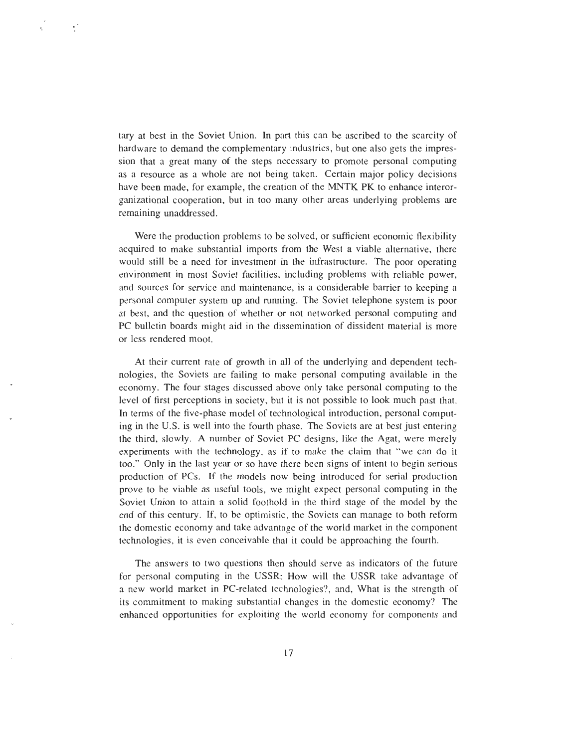tary at best in the Soviet Union. In part this can be ascribed to the scarcity of hardware to demand the complementary industries, but one also gets the impression that a great many of the steps necessary to promote personal computing as a resource as a whole are not being taken . Certain major policy decisions have been made, for example, the creation of the MNTK PK to enhance interorganizational cooperation, but in too many other areas underlying problems are remaining unaddressed.

 $\epsilon^2$ 

Were the production problems to be solved, or sufficient economic flexibility acquired to make substantial imports from the West a viable alternative, there would still be a need for investment in the infrastructure. The poor operating environment in most Soviet facilities, including problems with reliable power, and sources for service and maintenance, is a considerable barrier to keeping a personal computer system up and running. The Soviet telephone system is poor at best, and the question of whether or not networked personal computing and PC bulletin boards might aid in the dissemination of dissident material is more or less rendered moot.

At their current rate of growth in all of the underlying and dependent technologies, the Soviets are failing to make personal computing available in the economy. The four stages discussed above only take personal computing to the level of first perceptions in society, but it is not possible to look much past that . In terms of the five-phase model of technological introduction, personal computing in the U.S . is well into the fourth phase . The Soviets are at best just entering the third, slowly. A number of Soviet PC designs, like the Agat, were merely experiments with the technology, as if to make the claim that "we can do it too." Only in the last year or so have there been signs of intent to begin serious production of PCs . If the models now being introduced for serial production prove to be viable as useful tools, we might expect personal computing in the Soviet Union to attain a solid foothold in the third stage of the model by the end of this century. If, to be optimistic, the Soviets can manage to both reform the domestic economy and take advantage of the world market in the component technologies, it is even conceivable that it could be approaching the fourth.

The answers to two questions then should serve as indicators of the future for personal computing in the USSR : How will the USSR take advantage of a new world market in PC-related technologies?, and, What is the strength of its commitment to making substantial changes in the domestic economy? The enhanced opportunities for exploiting the world economy for components and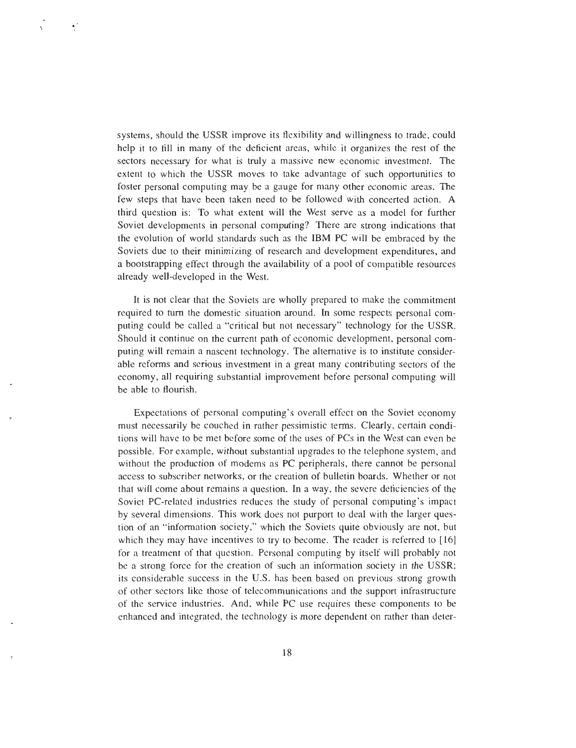systems, should the USSR improve its flexibility and willingness to trade, could help it to fill in many of the deficient areas, while it organizes the rest of the sectors necessary for what is truly a massive new economic investment. The extent to which the USSR moves to take advantage of such opportunities to foster personal computing may be a gauge for many other economic areas . The few steps that have been taken need to be followed with concerted action. A third question is : To what extent will the West serve as a model for further Soviet developments in personal computing? There are strong indications that the evolution of world standards such as the IBM PC will be embraced by the Soviets due to their minimizing of research and development expenditures, and a bootstrapping effect through the availability of a pool of compatible resource <sup>s</sup> already well-developed in the West.

Ñ,

It is not clear that the Soviets are wholly prepared to make the commitment required to turn the domestic situation around . In some respects personal computing could be called a "critical but not necessary" technology for the USSR. Should it continue on the current path of economic development, personal computing will remain a nascent technology . The alternative is to institute considerable reforms and serious investment in a great many contributing sectors of the economy, all requiring substantial improvement before personal computing will be able to flourish.

Expectations of personal computing's overall effect on the Soviet economy must necessarily be couched in rather pessimistic terms . Clearly, certain conditions will have to be met before some of the uses of PCs in the West can even be possible. For example, without substantial upgrades to the telephone system, and without the production of modems as PC peripherals, there cannot be personal access to subscriber networks, or the creation of bulletin boards. Whether or not that will come about remains a question. In a way, the severe deficiencies of the Soviet PC-related industries reduces the study of personal computing's impact by several dimensions. This work does not purport to deal with the larger question of an "information society," which the Soviets quite obviously are not, but which they may have incentives to try to become. The reader is referred to [16] for a treatment of that question. Personal computing by itself will probably not be a strong force for the creation of such an information society in the USSR; its considerable success in the U.S. has been based on previous strong growth of other sectors like those of telecommunications and the support infrastructur e of the service industries. And, while PC use requires these components to be enhanced and integrated, the technology is more dependent on rather than deter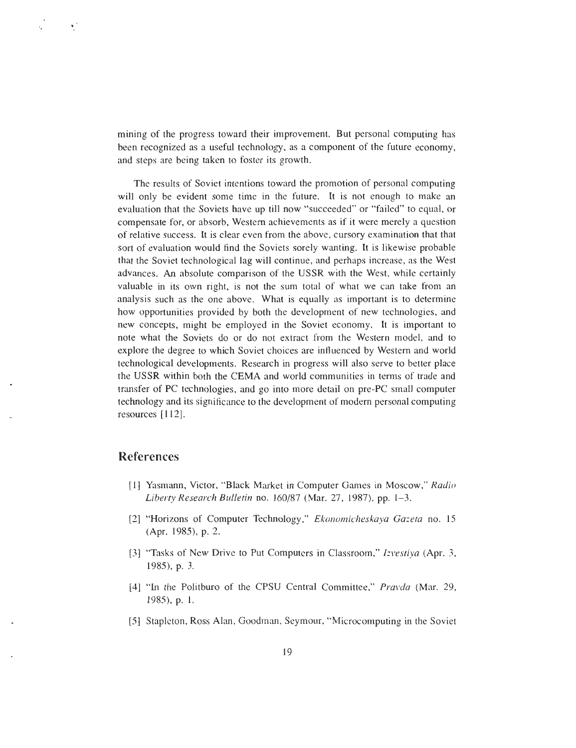mining of the progress toward their improvement. But personal computing has been recognized as a useful technology, as a component of the future economy , and steps are being taken to foster its growth.

The results of Soviet intentions toward the promotion of personal computing will only be evident some time in the future. It is not enough to make an evaluation that the Soviets have up till now "succeeded" or "failed" to equal, or compensate for, or absorb, Western achievements as if it were merely a question of relative success. It is clear even from the above, cursory examination that that sort of evaluation would find the Soviets sorely wanting. It is likewise probable that the Soviet technological lag will continue, and perhaps increase, as the West advances. An absolute comparison of the USSR with the West, while certainly valuable in its own right, is not the sum total of what we can take from an analysis such as the one above. What is equally as important is to determine how opportunities provided by both the development of new technologies, and new concepts, might be employed in the Soviet economy . It is important to note what the Soviets do or do not extract from the Western model, and to explore the degree to which Soviet choices are influenced by Western and world technological developments. Research in progress will also serve to better place the USSR within both the CEMA and world communities in terms of trade and transfer of PC technologies, and go into more detail on pre-PC small compute r technology and its significance to the development of modern personal computing resources [112].

## References

Ñ,

- [1] Yasmann, Victor, "Black Market in Computer Games in Moscow, " *Radi o Liberty Research Bulletin no. 160/87 (Mar. 27, 1987), pp . 1-3.*
- [2] "Horizons of Computer Technology, " *Ekonomicheskaya Gaeta no. 1 <sup>5</sup> (Apr. 1985), p . 2.*
- [3] "Tasks of New Drive to Put Computers in Classroom, " I*zvestiya (Apr. 3, 1985), p. 3 .*
- [4] "In the Politburo of the CPSU Central Committee, " *Pravda (Mar. 29, 1985), p . 1 .*
- [5] Stapleton, Ross Alan, Goodman, Seymour, "Microcomputing in the Sovie <sup>t</sup>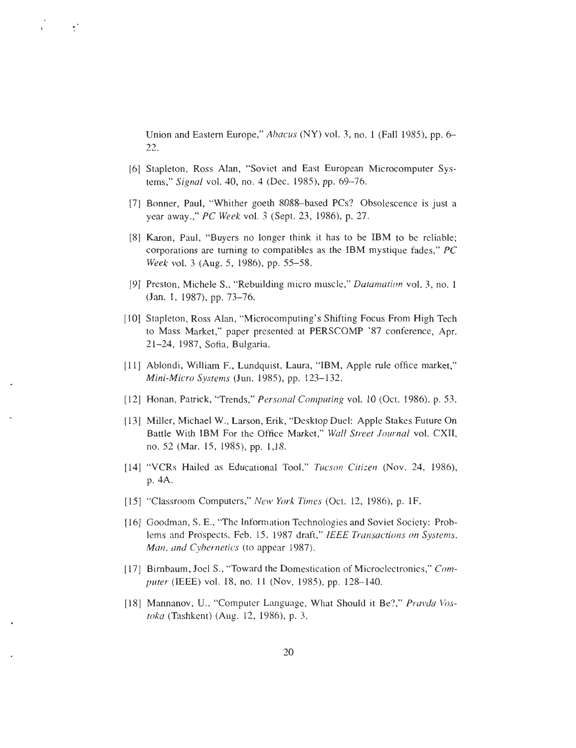Union and Eastern Europe," *Abacus (NY)* vol. 3, no. 1 *(Fall 1985)*, pp. 6– *2 2*

[6] Stapleton, Ross Alan, "Soviet and East European Microcomputer Systems," *Signal vol . 40, no. 4 (Dec . 1985), pp. 69—76 .*

 $\mathcal{L}^{\mathcal{A}}$ 

- [7] Bonner, Paul, "Whither goeth 8088—based PCs? Obsolescence is just a year away.," *PC Week vol. <sup>3</sup> (Sept. 23, 1986), p. 27 .*
- [8] Karon, Paul, "Buyers no longer think it has to be IBM to be reliable; corporations are turning to compatibles as the IBM mystique fades, " *PC Week vol. 3 (Aug. 5, 1986), pp. 55—58 .*
- [9] Preston, Michele S., "Rebuilding micro muscle, " *Datamation vol. 3, no. <sup>1</sup> (Jan. 1, 1987), pp. 73—76 .*
- [10] Stapleton, Ross Alan, "Microcomputing's Shifting Focus From High Tech to Mass Market," paper presented at PERSCOMP '87 conference, Apr. 21—24, 1987, Sofia, Bulgaria .
- [11] Ablondi, William F., Lundquist, Laura, "IBM, Apple rule office market," *Mini-Micro Systems (Jun. 1985), pp. 123—132 .*
- [12] Honan, Patrick, "Trends," *Personal Computing* vol. 10 (Oct. 1986), p. 53.
- [13] Miller, Michael W ., Larson, Erik, "Desktop Duel: Apple Stakes Future On Battle With IBM For the Office Market," *Wall Street Journal vol . CXII, no. 52 (Mar. 15, 1985), pp. 1,18.*
- [14] "VCRs Hailed as Educational Tool," *Tucson Citizen (Nov . 24, 1986), p. 4A.*
- [15] "Classroom Computers," *New York Times* (Oct. 12, 1986), p. 1F.
- [16] Goodman, S. E., "The Information Technologies and Soviet Society: Problems and Prospects, Feb. 15, 1987 draft," *IEEE Transactions on Systems , Man, and Cybernetics (to appear 1987).*
- [17] Birnbaum, Joel S., "Toward the Domestication of Microelectronics," Com*puter* (IEEE) vol. 18, no. 11 (Nov. 1985), pp. 128-140.
- [18] Mannanov, U., "Computer Language, What Should it Be?," Pravda Vos*toka (Tashkent) (Aug. 12, 1986), p. 3 .*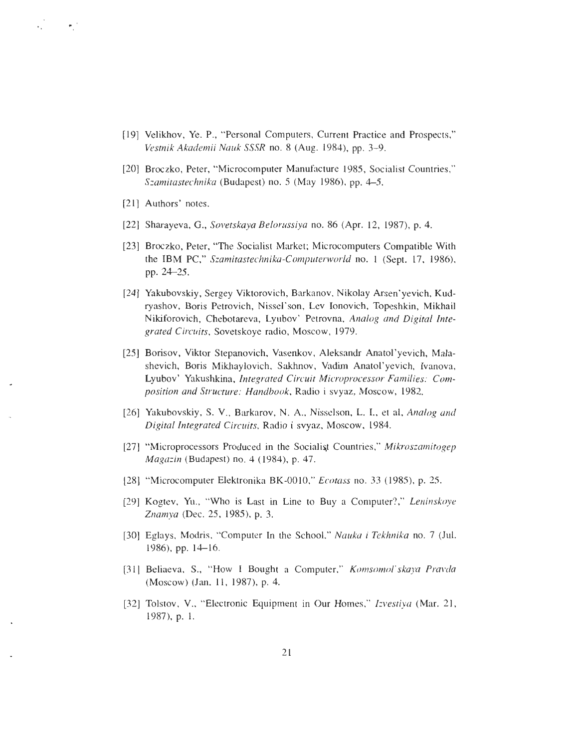- [19] Velikhov, Ye . P., "Personal Computers, Current Practice and Prospects, " *Vestnik Akademii Nauk SSSR no. 8 (Aug . 1984), pp . 3-9.*
- [20] Broczko, Peter, "Microcomputer Manufacture 1985, Socialist Countries, " *Szamitastechnika (Budapest) no. 5 (May 1986), pp . . 4-5*
- [21] Authors' notes.
- [22] Sharayeva, G., *Sovetskaya Belorussiya no. 86 (Apr. 12, 1987), p. 4 .*
- [23] Broczko, Peter, "The Socialist Market; Microcomputers Compatible With the IBM PC," Szamitastechnika-Computerworld no. 1 (Sept. 17, 1986), *pp. 24-25 .*
- [24] Yakubovskiy, Sergey Viktorovich, Barkanov, Nikolay Arsen'yevich, Kudryashov, Boris Petrovich, Nissel'son, Lev Ionovich, Topeshkin, Mikhai <sup>l</sup> Nikiforovich, Chebotareva, Lyubov ' Petrovna, *Analog and Digital Integrated Circuits, Sovetskoye radio, Moscow, 1979 .*
- [25] Borisov, Viktor Stepanovich, Vasenkov, Aleksandr Anatol' yevich, Malashevich, Boris Mikhaylovich, Sakhnov, Vadim Anatol' yevich, Ivanova, Lyubov' Yakushkina, *Integrated Circuit Microprocessor Families: Composition and Structure : Handbook, Radio i svyaz, Moscow, 1982 .*
- [26] Yakubovskiy, S. V., Barkarov, N. A., Nisselson, L. I., et al, *Analog and Digital Integrated Circuits, Radio i svyaz, Moscow, 1984 .*
- [27] "Microprocessors Produced in the Socialist Countries, " *Mikroszamitogep Magazin (Budapest) no. 4 (1984), p . 47 .*
- [28] "Microcomputer Elektronika BK-0010, *" Ecotass no. 33 (1985), p. 25 .*
- [29] Kogtev, Yu., "Who is Last in Line to Buy a Computer?," *Leninskoye Znamya (Dec . 25, 1985), p. 3.*
- [30] Eglays, Modris, "Computer In the School, *" Nauka i Tekhnika no. 7 (Jul . 1986), pp . 14-16.*
- [31] Beliaeva, S., "How I Bought a Computer," *Komsomol'skaya Pravda (Moscow) (Jan . 11, 1987), p. 4.*
- [32] Tolstov, V., "Electronic Equipment in Our Homes," *Izvestiya* (Mar. 21, *1987), p. 1 .*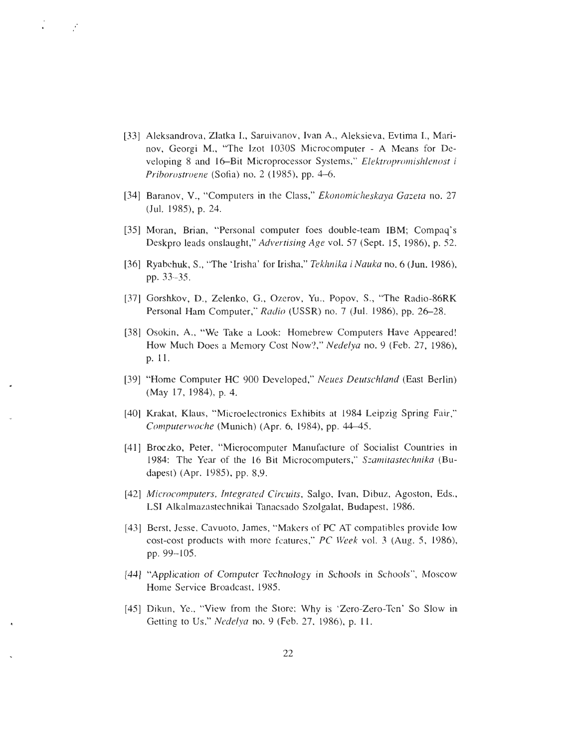[33] Aleksandrova, Zlatka I., Saruivanov, Ivan A., Aleksieva, Evtima I., Marinov, Georgi M., "The Izot 1030S Microcomputer - A Means for Developing 8 and 16—Bit Microprocessor Systems," *Elektropromishlenost <sup>i</sup> Priborostroene* (Sofia) no. 2 (1985), pp. 4–6.

Ý

- [34] Baranov, V ., "Computers in the Class," *Ekonomicheskaya Gazeta no. 27 (Jul. 1985), p. 24.*
- [35] Moran, Brian, "Personal computer foes double-team IBM; Compaq's Deskpro leads onslaught," *Advertising Age vol. 57 (Sept . 15, 1986), p . 52.*
- [36] Ryabchuk, S., "The `Irisha' for Irisha, " *Tekhnika i Nauka no. 6 (Jun. 1986), pp . 33—35 .*
- [37] Gorshkov, D., Zelenko, G., Ozerov, Yu., Popov, S., "The Radio-86RK Personal Ham Computer," *Radio (USSR) no . 7 (Jul. 1986), pp. 26—28 .*
- [38] Osokin, A., "We Take a Look: Homebrew Computers Have Appeared! How Much Does a Memory Cost Now?," *Nedelya no. 9 (Feb. 27, 1986), p. 11 .*
- [39] "Home Computer HC 900 Developed," *Neues Deutschland (East Berlin) (May 17, 1984), p. 4.*
- [40] Krakat, Klaus, "Microelectronics Exhibits at 1984 Leipzig Spring Fair, " *Computerwoche (Munich) (Apr. 6, 1984), pp . <sup>11</sup> . 15 .*
- [41] Broczko, Peter, "Microcomputer Manufacture of Socialist Countries in 1984: The Year of the 16 Bit Microcomputers," *Szamitastechnika (Budapest*) (Apr. 1985), pp. 8,9.
- *[42] Microcomputers, Integrated Circuits, Salgo, Ivan, Dibuz, Agoston, Eds. , LSI Alkalmazastechnikai Tanacsado Szolgalat, Budapest, 1986 .*
- [43] Berst, Jesse, Cavuoto, James, "Makers of PC AT compatibles provide low cost-cost products with more features," *PC Week vol. 3 (Aug. 5, 1986), pp. 99—105 .*
- [44] "Application of Computer Technology in Schools in Schools", Moscow Home Service Broadcast, 1985.
- [45] Dikun, Ye., "View from the Store; Why is 'Zero-Zero-Ten' So Slow in Getting to Us," *Nedelya* no. 9 (Feb. 27, 1986), p. 11.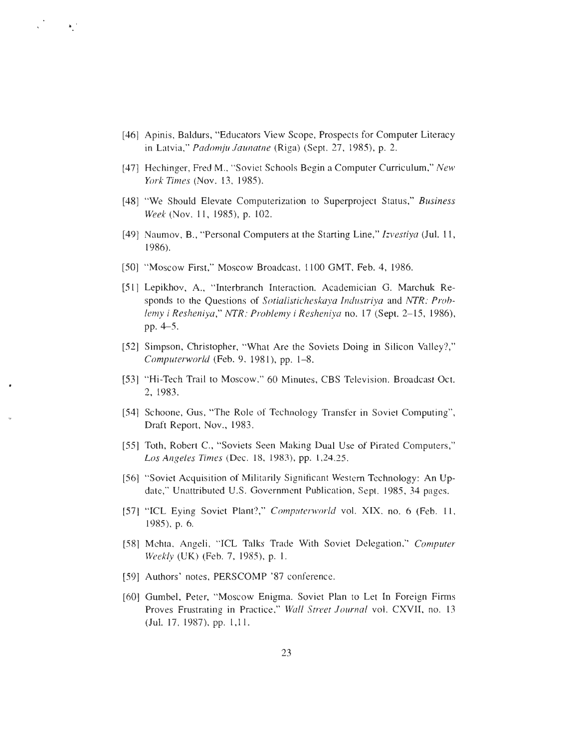[46] Apinis, Baldurs, "Educators View Scope, Prospects for Computer Literacy in Latvia," *Padomju Jaunatne (Riga) (Sept. 27, 1985), p . 2 .*

 $\sqrt{1-\frac{1}{2}}$ 

- [47] Hechinger, Fred M ., "Soviet Schools Begin a Computer Curriculum," *New York Times (Nov. 13, 1985).*
- [48] "We Should Elevate Computerization to Superproject Status," *Business Week* (Nov. 11, 1985), p. 102.
- [49] Naumov, B., "Personal Computers at the Starting Line," *Izvestiya* (Jul. 11, *1986).*
- [50] "Moscow First," Moscow Broadcast, 1100 GMT, Feb. 4, 1986.
- [51] Lepikhov, A., "Interbranch Interaction. Academician G. Marchuk Responds to the Questions of *Sotialisticheskaya Industriya and NTR: Problemy i Resheniya," NTR: Problemy i Resheniya no. 17 (Sept. 2-15, 1986),* pp. 4-5 .
- [52] Simpson, Christopher, "What Are the Soviets Doing in Silicon Valley?," *Computerworld (Feb. 9, 1981), pp. 1-8 .*
- [53] "Hi-Tech Trail to Moscow," 60 Minutes, CBS Television. Broadcast Oct. 2, 1983.
- [54] Schoone, Gus, "The Role of Technology Transfer in Soviet Computing", Draft Report, Nov., 1983.
- [55] Toth, Robert C., "Soviets Seen Making Dual Use of Pirated Computers, " *Los Angeles Times (Dec . 18, 1983), pp. 1,24,25.*
- [56] "Soviet Acquisition of Militarily Significant Western Technology : An Update," Unattributed U.S. Government Publication, Sept. 1985, 34 pages.
- [57] "ICL Eying Soviet Plant?," *Computerworld vol. XIX, no . 6 (Feb. 11 , 1985), p . 6.*
- [58] Mehta, Angeli, "ICL Talks Trade With Soviet Delegation," *Compute r Weekly (UK) (Feb. 7, 1985), p . 1 .*
- [59] Authors' notes, PERSCOMP '87 conference.
- [60] Gumbel, Peter, "Moscow Enigma. Soviet Plan to Let In Foreign Firms Proves Frustrating in Practice," Wall Street Journal vol. CXVII, no. 13 *(Jul. 17, 1987), pp . 1,11 .*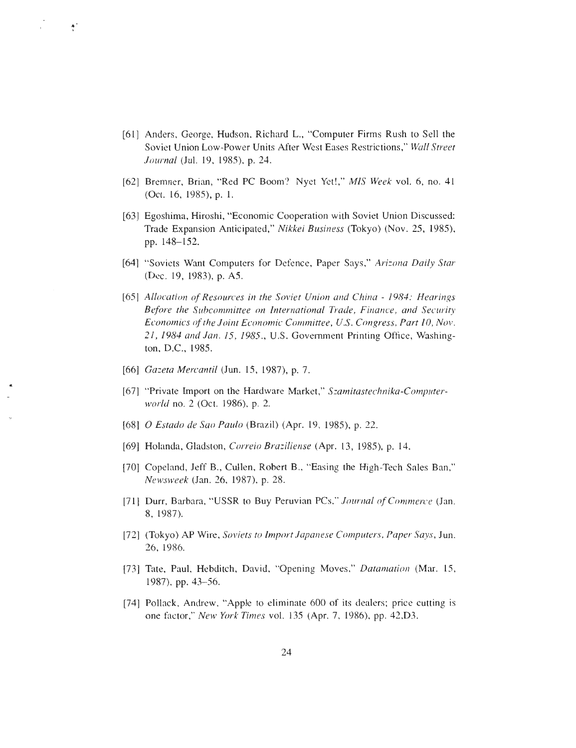- [61] Anders, George, Hudson, Richard L., "Computer Firms Rush to Sell the Soviet Union Low-Power Units After West Eases Restrictions," Wall Street *Journal (Jul . 19, 1985), p . 24.*
- [62] Bremner, Brian, "Red PC Boom? Nyet Yet!," *MIS Week vol. 6, no. 4 <sup>1</sup> (Oct. 16, 1985), p. 1 .*
- [63] Egoshima, Hiroshi, "Economic Cooperation with Soviet Union Discussed: Trade Expansion Anticipated, " *Nikkei Business (Tokyo) (Nov. 25, 1985) , pp. 148-152.*
- [64] "Soviets Want Computers for Defence, Paper Says," Arizona Daily Star *(Dec. 19, 1983), p. AS .*
- *[65] Allocation of Resources in the Soviet Union and China 1984 : Hearings Before the Subcommittee on International Trade, Finance, and Security Economics of the Joint Economic Committee, U .S. Congress, Part 10, Nov . 21, 1984 and Jan . 15, 1985 ., U.S . Government Printing Office, Washington, D.C., 1985.*
- *[66] Gaeta Mercantil (Jun. 15, 1987), p. 7.*

 $\hat{\mathcal{L}}$ 

- [67] "Private Import on the Hardware Market, " *Szamitastechnika-Computerworld no. 2 (Oct. 1986), p. 2.*
- [68] <sup>O</sup> *Estado de Sao Paulo (Brazil) (Apr. 19, 1985), p. 22.*
- [69] Holanda, Gladston, *Correio Braziliense (Apr. 13, 1985), p. 14.*
- [70] Copeland, Jeff B., Cullen, Robert B., "Easing the High-Tech Sales Ban," *Newsweek (Jan. 26, 1987), p. 28.*
- [71] Durr. Barbara, "USSR to Buy Peruvian PCs," *Journal of Commerce (Jan. 8, 1987).*
- [72] (Tokyo) AP Wire, *Soviets to Import Japanese Computers, Paper Says, Jun. 26, 1986.*
- [73] Tate, Paul, Hebditch, David, "Opening Moves, " *Datamation (Mar. 15 , 1987), pp. 43-56.*
- [74] Pollack, Andrew, "Apple to eliminate 600 of its dealers; price cutting is one factor," *New York Times vol.* 135 (Apr. 7, 1986), pp. 42,D3.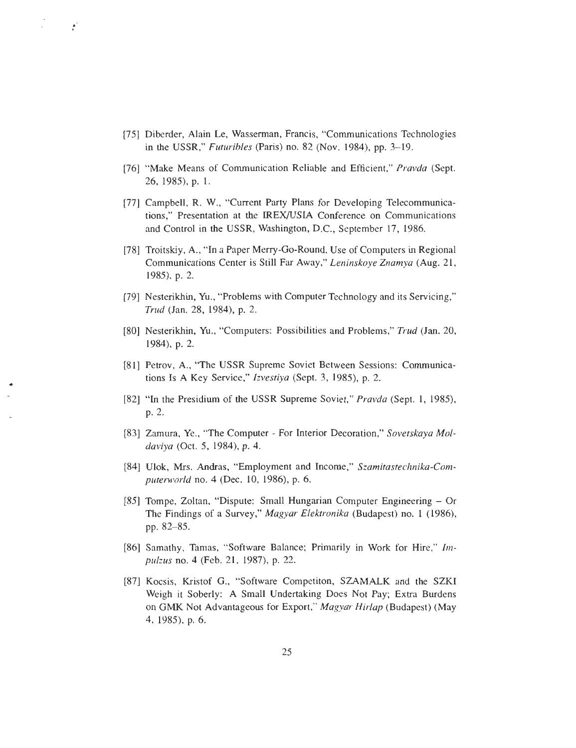[75] Diberder, Alain Le, Wasserman, Francis, "Communications Technologies in the USSR," *Futuribles (Paris) no . 82 (Nov . 1984), pp. 3–19 .*

 $\mathcal{F}$ 

- [76] "Make Means of Communication Reliable and Efficient," *Pravda (Sept. 26, 1985), p . 1 .*
- [77] Campbell, R. W., "Current Party Plans for Developing Telecommunications," Presentation at the IREX/USIA Conference on Communications and Control in the USSR, Washington, D.C., September 17, 1986.
- [78] Troitskiy, A., "In a Paper Merry-Go-Round. Use of Computers in Regional Communications Center is Still Far Away," *Leninskoye Znamya (Aug. 21 , 1985), p. 2.*
- [79] Nesterikhin, Yu., "Problems with Computer Technology and its Servicing, " *Trud (Jan. 28, 1984), p. 2.*
- [80] Nesterikhin, Yu ., "Computers : Possibilities and Problems," *Trud (Jan. 20, 1984), p. 2.*
- [81] Petrov, A., "The USSR Supreme Soviet Between Sessions: Communications Is A Key Service," *Izvestiya (Sept. 3, 1985), p. 2.*
- [82] "In the Presidium of the USSR Supreme Soviet," *Pravda (Sept. 1, 1985), p. 2.*
- [83] Zamura, Ye., "The Computer For Interior Decoration," Sovetskaya Mol*daviya (Oct. 5, 1984), p. 4.*
- [84] Ulok, Mrs. Andras, "Employment and Income," Szamitastechnika-Com-*Szamitastechnika-Computerworld . no. 4 (Dec. 10, 1986), p. 6*
- [85] Tompe, Zoltan, "Dispute: Small Hungarian Computer Engineering Or The Findings of a Survey," *Magyar Elektronika* (Budapest) no. 1 (1986), *pp. 82–85.*
- [86] Samathy, Tamas, "Software Balance; Primarily in Work for Hire," *Impulzus no . 4 (Feb. 21, 1987), p. 22.*
- [87] Kocsis, Kristof G., "Software Competiton, SZAMALK and the SZKI Weigh it Soberly: A Small Undertaking Does Not Pay; Extra Burdens on GMK Not Advantageous for Export, " *Magyar Hirlap (Budapest) (Ma y 4, 1985), p. 6.*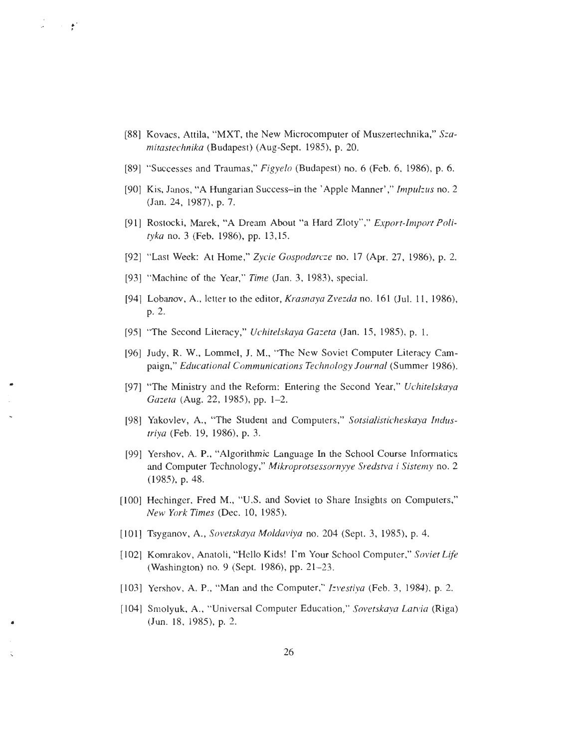- [88] Kovacs, Attila, "MXT, the New Microcomputer of Muszertechnika," Sza*imitastechnika* (Budapest) (Aug-Sept. 1985), p. 20.
- [89] "Successes and Traumas," *Figyelo (Budapest) no . 6 (Feb. 6, 1986), p. 6 .*
- [90] Kis, Janos, "A Hungarian Success–in the ' Apple Manner' ," *Impulzus no. 2 (Jan. 24, 1987), p. 7.*
- [91] Rostocki, Marek, "A Dream About "a Hard Zloty"," *Export-Import Polityka no. 3 (Feb. 1986), pp . 13,15.*
- [92] "Last Week : At Home," *Zycie Gospodarcze no. 17 (Apr. 27, 1986), p. 2.*
- [93] "Machine of the Year," *Time (Jan. 3, 1983), special .*

 $\lambda = 10^{-4}$ 

- [94] Lobanov, A., letter to the editor, *Krasnaya Zvezda* no. 161 (Jul. 11, 1986), *p. 2 .*
- [95] "The Second Literacy, " *Uchitelskaya Gazeta (Jan . 15, 1985), p. 1.*
- [96] Judy, R. W., Lommel, J. M., "The New Soviet Computer Literacy Campaign," *Educational Communications Technology Journal (Summer 1986) .*
- [97] "The Ministry and the Reform: Entering the Second Year," *Uchitelskaya Gazeta (Aug. 22, 1985), pp. 1–2.*
- [98] Yakovlev, A., "The Student and Computers, " *Sotsialisticheskaya Industriya (Feb. 19, 1986), p. 3.*
- [99] Yershov, A. P., "Algorithmic Language In the School Course Informatics and Computer Technology ," *Mikroprotsessornyye Sredstva i Sistemy no. 2 (1985), p. 48.*
- [100] Hechinger, Fred M., "U.S. and Soviet to Share Insights on Computers," *New York Times (Dec. 10, 1985).*
- [101] Tsyganov, A., *Sovetskaya Moldaviya no. 204 (Sept. 3, 1985), p. 4.*
- [102] Komrakov, Anatoli, "Hello Kids! I'm Your School Computer," *Soviet Life (Washington) no. 9 (Sept. 1986), pp. 21–23 .*
- [103] Yershov, A. P., "Man and the Computer," *Izvestiya* (Feb. 3, 1984), p. 2.
- [104] Smolyuk, A., "Universal Computer Education, " *Sovetskaya Latvia (Riga) (Jun. 18, 1985), p. 2 .*